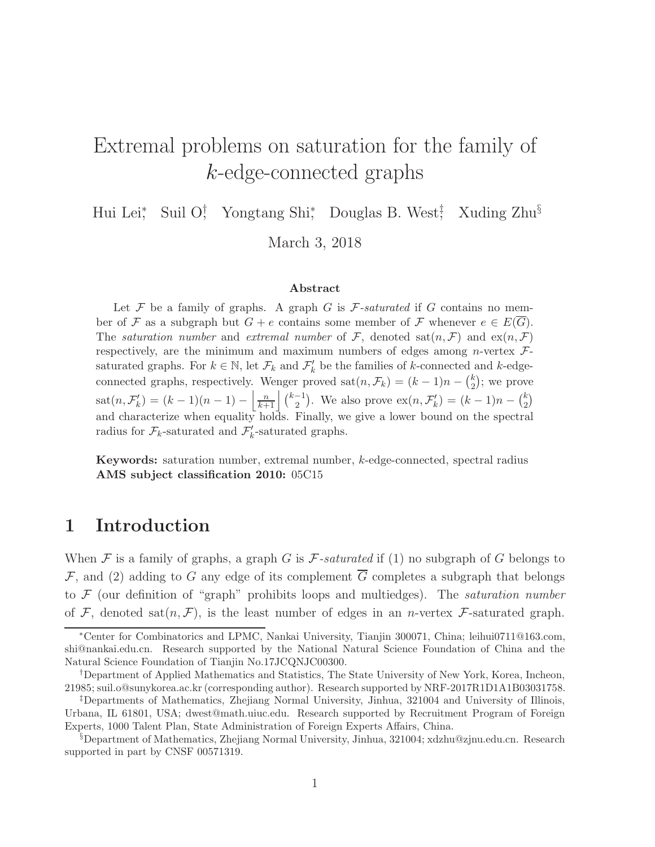### Extremal problems on saturation for the family of k-edge-connected graphs

Hui Lei<sup>\*</sup>, Suil O<sup>†</sup>, Yongtang Shi<sup>\*</sup>, Douglas B. West<sup>‡</sup>, Xuding Zhu<sup>§</sup> March 3, 2018

#### Abstract

Let  $F$  be a family of graphs. A graph  $G$  is  $F$ -saturated if  $G$  contains no member of F as a subgraph but  $G + e$  contains some member of F whenever  $e \in E(G)$ . The saturation number and extremal number of F, denoted  $\text{sat}(n, \mathcal{F})$  and  $\text{ex}(n, \mathcal{F})$ respectively, are the minimum and maximum numbers of edges among *n*-vertex  $\mathcal{F}$ saturated graphs. For  $k \in \mathbb{N}$ , let  $\mathcal{F}_k$  and  $\mathcal{F}'_k$  be the families of k-connected and k-edgeconnected graphs, respectively. Wenger proved  $\text{sat}(n, \mathcal{F}_k) = (k-1)n - {k \choose 2}$  $\binom{k}{2}$ ; we prove  $\text{sat}(n, \mathcal{F}'_k) = (k-1)(n-1) - \left| \frac{n}{k+1} \right| \binom{k-1}{2}$  $\binom{-1}{2}$ . We also prove  $\mathrm{ex}(n, \mathcal{F}'_k) = (k-1)n - \binom{k}{2}$  $\binom{k}{2}$ and characterize when equality holds. Finally, we give a lower bound on the spectral radius for  $\mathcal{F}_k$ -saturated and  $\mathcal{F}'_k$ -saturated graphs.

Keywords: saturation number, extremal number, k-edge-connected, spectral radius AMS subject classification 2010: 05C15

#### 1 Introduction

When F is a family of graphs, a graph G is  $\mathcal F$ -saturated if (1) no subgraph of G belongs to F, and (2) adding to G any edge of its complement  $\overline{G}$  completes a subgraph that belongs to  $\mathcal F$  (our definition of "graph" prohibits loops and multiedges). The *saturation number* of F, denoted sat $(n, \mathcal{F})$ , is the least number of edges in an *n*-vertex F-saturated graph.

<sup>∗</sup>Center for Combinatorics and LPMC, Nankai University, Tianjin 300071, China; leihui0711@163.com, shi@nankai.edu.cn. Research supported by the National Natural Science Foundation of China and the Natural Science Foundation of Tianjin No.17JCQNJC00300.

<sup>†</sup>Department of Applied Mathematics and Statistics, The State University of New York, Korea, Incheon, 21985; suil.o@sunykorea.ac.kr (corresponding author). Research supported by NRF-2017R1D1A1B03031758.

<sup>‡</sup>Departments of Mathematics, Zhejiang Normal University, Jinhua, 321004 and University of Illinois, Urbana, IL 61801, USA; dwest@math.uiuc.edu. Research supported by Recruitment Program of Foreign Experts, 1000 Talent Plan, State Administration of Foreign Experts Affairs, China.

<sup>§</sup>Department of Mathematics, Zhejiang Normal University, Jinhua, 321004; xdzhu@zjnu.edu.cn. Research supported in part by CNSF 00571319.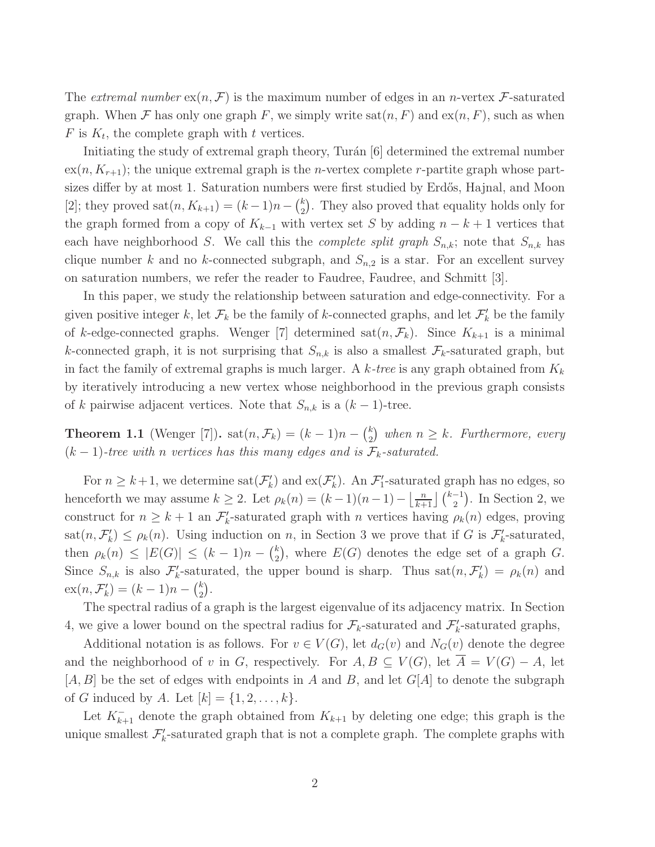The extremal number  $\exp(n, \mathcal{F})$  is the maximum number of edges in an n-vertex  $\mathcal{F}$ -saturated graph. When F has only one graph F, we simply write  $\text{sat}(n, F)$  and  $\text{ex}(n, F)$ , such as when  $F$  is  $K_t$ , the complete graph with t vertices.

Initiating the study of extremal graph theory, Turán [6] determined the extremal number  $ex(n, K_{r+1})$ ; the unique extremal graph is the *n*-vertex complete *r*-partite graph whose partsizes differ by at most 1. Saturation numbers were first studied by Erdős, Hajnal, and Moon [2]; they proved  $\text{sat}(n, K_{k+1}) = (k-1)n - \binom{k}{2}$  $_{2}^{k}$ ). They also proved that equality holds only for the graph formed from a copy of  $K_{k-1}$  with vertex set S by adding  $n - k + 1$  vertices that each have neighborhood S. We call this the *complete split graph*  $S_{n,k}$ ; note that  $S_{n,k}$  has clique number k and no k-connected subgraph, and  $S_{n,2}$  is a star. For an excellent survey on saturation numbers, we refer the reader to Faudree, Faudree, and Schmitt [3].

In this paper, we study the relationship between saturation and edge-connectivity. For a given positive integer k, let  $\mathcal{F}_k$  be the family of k-connected graphs, and let  $\mathcal{F}'_k$  be the family of k-edge-connected graphs. Wenger [7] determined sat $(n, \mathcal{F}_k)$ . Since  $K_{k+1}$  is a minimal k-connected graph, it is not surprising that  $S_{n,k}$  is also a smallest  $\mathcal{F}_k$ -saturated graph, but in fact the family of extremal graphs is much larger. A  $k$ -tree is any graph obtained from  $K_k$ by iteratively introducing a new vertex whose neighborhood in the previous graph consists of k pairwise adjacent vertices. Note that  $S_{n,k}$  is a  $(k-1)$ -tree.

**Theorem 1.1** (Wenger [7]).  $\text{sat}(n, \mathcal{F}_k) = (k-1)n - {k \choose 2}$  $\binom{k}{2}$  when  $n \geq k$ . Furthermore, every  $(k-1)$ -tree with n vertices has this many edges and is  $\mathcal{F}_k$ -saturated.

For  $n \geq k+1$ , we determine  $\text{sat}(\mathcal{F}'_k)$  and  $\text{ex}(\mathcal{F}'_k)$ . An  $\mathcal{F}'_1$ -saturated graph has no edges, so henceforth we may assume  $k \geq 2$ . Let  $\rho_k(n) = (k-1)(n-1) - \left\lfloor \frac{n}{k+1} \right\rfloor {k-1 \choose 2}$ . In Section 2, we construct for  $n \geq k+1$  an  $\mathcal{F}'_k$ -saturated graph with n vertices having  $\rho_k(n)$  edges, proving  $\text{sat}(n, \mathcal{F}'_k) \leq \rho_k(n)$ . Using induction on n, in Section 3 we prove that if G is  $\mathcal{F}'_k$ -saturated, then  $\rho_k(n) \leq |E(G)| \leq (k-1)n - {k \choose 2}$  $E(E)$ , where  $E(G)$  denotes the edge set of a graph G. Since  $S_{n,k}$  is also  $\mathcal{F}'_k$ -saturated, the upper bound is sharp. Thus sat $(n,\mathcal{F}'_k) = \rho_k(n)$  and  $ex(n, \mathcal{F}'_k) = (k-1)n - {k \choose 2}$  $\binom{k}{2}$ .

The spectral radius of a graph is the largest eigenvalue of its adjacency matrix. In Section 4, we give a lower bound on the spectral radius for  $\mathcal{F}_k$ -saturated and  $\mathcal{F}'_k$ -saturated graphs,

Additional notation is as follows. For  $v \in V(G)$ , let  $d_G(v)$  and  $N_G(v)$  denote the degree and the neighborhood of v in G, respectively. For  $A, B \subseteq V(G)$ , let  $\overline{A} = V(G) - A$ , let  $[A, B]$  be the set of edges with endpoints in A and B, and let  $G[A]$  to denote the subgraph of G induced by A. Let  $[k] = \{1, 2, ..., k\}.$ 

Let  $K_{k+1}^-$  denote the graph obtained from  $K_{k+1}$  by deleting one edge; this graph is the unique smallest  $\mathcal{F}'_k$ -saturated graph that is not a complete graph. The complete graphs with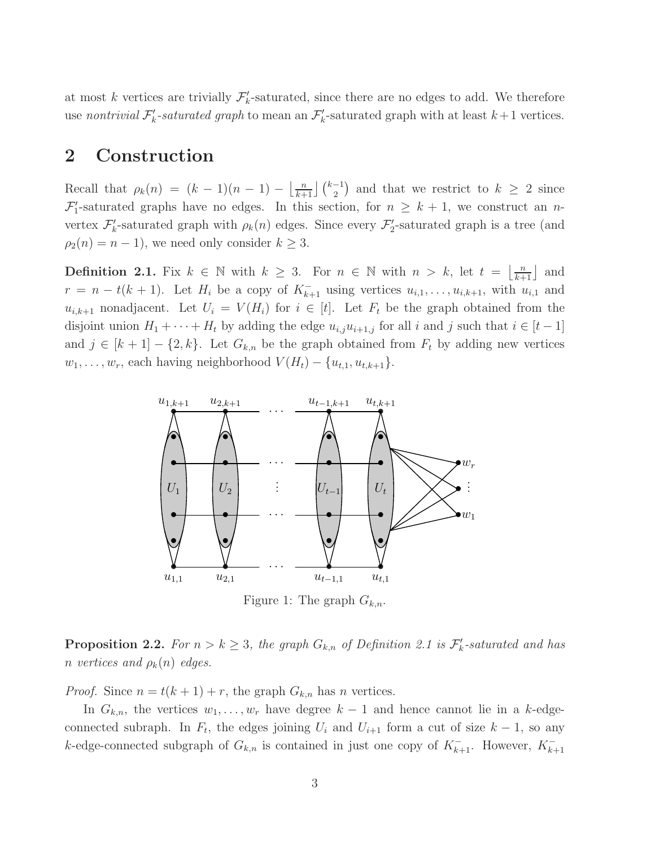at most k vertices are trivially  $\mathcal{F}'_k$ -saturated, since there are no edges to add. We therefore use nontrivial  $\mathcal{F}'_k$ -saturated graph to mean an  $\mathcal{F}'_k$ -saturated graph with at least  $k+1$  vertices.

#### 2 Construction

Recall that  $\rho_k(n) = (k-1)(n-1) - \left\lfloor \frac{n}{k+1} \right\rfloor {k-1 \choose 2}$  and that we restrict to  $k \geq 2$  since  $\mathcal{F}'_1$ -saturated graphs have no edges. In this section, for  $n \geq k+1$ , we construct an nvertex  $\mathcal{F}'_k$ -saturated graph with  $\rho_k(n)$  edges. Since every  $\mathcal{F}'_2$ -saturated graph is a tree (and  $\rho_2(n) = n - 1$ , we need only consider  $k \geq 3$ .

**Definition 2.1.** Fix  $k \in \mathbb{N}$  with  $k \geq 3$ . For  $n \in \mathbb{N}$  with  $n > k$ , let  $t = \lfloor \frac{n}{k+1} \rfloor$  and  $r = n - t(k + 1)$ . Let  $H_i$  be a copy of  $K_{k+1}^-$  using vertices  $u_{i,1}, \ldots, u_{i,k+1}$ , with  $u_{i,1}$  and  $u_{i,k+1}$  nonadjacent. Let  $U_i = V(H_i)$  for  $i \in [t]$ . Let  $F_t$  be the graph obtained from the disjoint union  $H_1 + \cdots + H_t$  by adding the edge  $u_{i,j}u_{i+1,j}$  for all i and j such that  $i \in [t-1]$ and  $j \in [k+1] - \{2, k\}$ . Let  $G_{k,n}$  be the graph obtained from  $F_t$  by adding new vertices  $w_1, \ldots, w_r$ , each having neighborhood  $V(H_t) - \{u_{t,1}, u_{t,k+1}\}.$ 



Figure 1: The graph  $G_{k,n}$ .

**Proposition 2.2.** For  $n > k \geq 3$ , the graph  $G_{k,n}$  of Definition 2.1 is  $\mathcal{F}'_k$ -saturated and has n vertices and  $\rho_k(n)$  edges.

*Proof.* Since  $n = t(k + 1) + r$ , the graph  $G_{k,n}$  has n vertices.

In  $G_{k,n}$ , the vertices  $w_1, \ldots, w_r$  have degree  $k-1$  and hence cannot lie in a k-edgeconnected subraph. In  $F_t$ , the edges joining  $U_i$  and  $U_{i+1}$  form a cut of size  $k-1$ , so any k-edge-connected subgraph of  $G_{k,n}$  is contained in just one copy of  $K_{k+1}^-$ . However,  $K_{k+1}^-$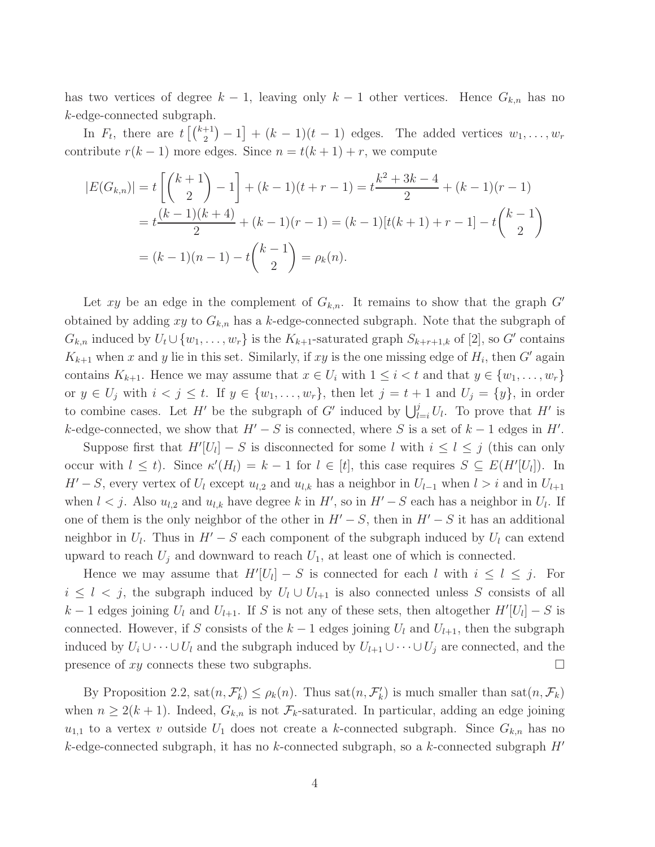has two vertices of degree  $k - 1$ , leaving only  $k - 1$  other vertices. Hence  $G_{k,n}$  has no k-edge-connected subgraph.

In  $F_t$ , there are  $t\left[\binom{k+1}{2}-1\right] + (k-1)(t-1)$  edges. The added vertices  $w_1, \ldots, w_r$ contribute  $r(k-1)$  more edges. Since  $n = t(k+1) + r$ , we compute

$$
|E(G_{k,n})| = t\left[\binom{k+1}{2} - 1\right] + (k-1)(t+r-1) = t\frac{k^2 + 3k - 4}{2} + (k-1)(r-1)
$$
  
=  $t\frac{(k-1)(k+4)}{2} + (k-1)(r-1) = (k-1)[t(k+1) + r - 1] - t\binom{k-1}{2}$   
=  $(k-1)(n-1) - t\binom{k-1}{2} = \rho_k(n).$ 

Let xy be an edge in the complement of  $G_{k,n}$ . It remains to show that the graph  $G'$ obtained by adding xy to  $G_{k,n}$  has a k-edge-connected subgraph. Note that the subgraph of  $G_{k,n}$  induced by  $U_t \cup \{w_1, \ldots, w_r\}$  is the  $K_{k+1}$ -saturated graph  $S_{k+r+1,k}$  of [2], so  $G'$  contains  $K_{k+1}$  when x and y lie in this set. Similarly, if xy is the one missing edge of  $H_i$ , then G' again contains  $K_{k+1}$ . Hence we may assume that  $x \in U_i$  with  $1 \leq i < t$  and that  $y \in \{w_1, \ldots, w_r\}$ or  $y \in U_j$  with  $i < j \le t$ . If  $y \in \{w_1, \ldots, w_r\}$ , then let  $j = t + 1$  and  $U_j = \{y\}$ , in order to combine cases. Let H' be the subgraph of G' induced by  $\bigcup_{l=i}^{j} U_l$ . To prove that H' is k-edge-connected, we show that  $H' - S$  is connected, where S is a set of  $k - 1$  edges in  $H'$ .

Suppose first that  $H'[U_l] - S$  is disconnected for some l with  $i \leq l \leq j$  (this can only occur with  $l \leq t$ ). Since  $\kappa'(H_l) = k - 1$  for  $l \in [t]$ , this case requires  $S \subseteq E(H'[U_l])$ . In  $H' - S$ , every vertex of  $U_l$  except  $u_{l,2}$  and  $u_{l,k}$  has a neighbor in  $U_{l-1}$  when  $l > i$  and in  $U_{l+1}$ when  $l < j$ . Also  $u_{l,2}$  and  $u_{l,k}$  have degree k in H', so in  $H' - S$  each has a neighbor in  $U_l$ . If one of them is the only neighbor of the other in  $H' - S$ , then in  $H' - S$  it has an additional neighbor in  $U_l$ . Thus in  $H' - S$  each component of the subgraph induced by  $U_l$  can extend upward to reach  $U_j$  and downward to reach  $U_1$ , at least one of which is connected.

Hence we may assume that  $H'[U_l] - S$  is connected for each l with  $i \leq l \leq j$ . For  $i \leq l \leq j$ , the subgraph induced by  $U_l \cup U_{l+1}$  is also connected unless S consists of all  $k-1$  edges joining  $U_l$  and  $U_{l+1}$ . If S is not any of these sets, then altogether  $H'[U_l] - S$  is connected. However, if S consists of the  $k-1$  edges joining  $U_l$  and  $U_{l+1}$ , then the subgraph induced by  $U_i \cup \cdots \cup U_l$  and the subgraph induced by  $U_{l+1} \cup \cdots \cup U_j$  are connected, and the presence of xy connects these two subgraphs.  $\Box$ 

By Proposition 2.2,  $\text{sat}(n, \mathcal{F}'_k) \leq \rho_k(n)$ . Thus  $\text{sat}(n, \mathcal{F}'_k)$  is much smaller than  $\text{sat}(n, \mathcal{F}_k)$ when  $n \geq 2(k+1)$ . Indeed,  $G_{k,n}$  is not  $\mathcal{F}_k$ -saturated. In particular, adding an edge joining  $u_{1,1}$  to a vertex v outside  $U_1$  does not create a k-connected subgraph. Since  $G_{k,n}$  has no k-edge-connected subgraph, it has no k-connected subgraph, so a k-connected subgraph  $H'$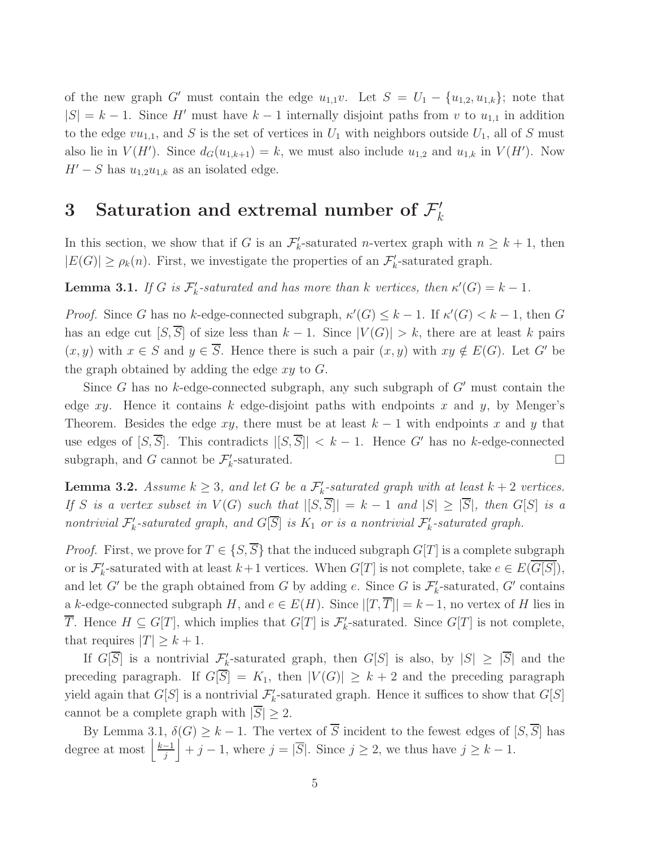of the new graph G' must contain the edge  $u_{1,1}v$ . Let  $S = U_1 - \{u_{1,2}, u_{1,k}\}$ ; note that  $|S| = k - 1$ . Since H' must have  $k - 1$  internally disjoint paths from v to  $u_{1,1}$  in addition to the edge  $vu_{1,1}$ , and S is the set of vertices in  $U_1$  with neighbors outside  $U_1$ , all of S must also lie in  $V(H')$ . Since  $d_G(u_{1,k+1}) = k$ , we must also include  $u_{1,2}$  and  $u_{1,k}$  in  $V(H')$ . Now  $H' - S$  has  $u_{1,2}u_{1,k}$  as an isolated edge.

# 3 Saturation and extremal number of  $\mathcal{F}'_k$

In this section, we show that if G is an  $\mathcal{F}'_k$ -saturated *n*-vertex graph with  $n \geq k+1$ , then  $|E(G)| \ge \rho_k(n)$ . First, we investigate the properties of an  $\mathcal{F}'_k$ -saturated graph.

**Lemma 3.1.** If G is  $\mathcal{F}'_k$ -saturated and has more than k vertices, then  $\kappa'(G) = k - 1$ .

*Proof.* Since G has no k-edge-connected subgraph,  $\kappa'(G) \leq k - 1$ . If  $\kappa'(G) < k - 1$ , then G has an edge cut  $[S,\overline{S}]$  of size less than  $k-1$ . Since  $|V(G)| > k$ , there are at least k pairs  $(x, y)$  with  $x \in S$  and  $y \in \overline{S}$ . Hence there is such a pair  $(x, y)$  with  $xy \notin E(G)$ . Let G' be the graph obtained by adding the edge  $xy$  to  $G$ .

Since G has no k-edge-connected subgraph, any such subgraph of  $G'$  must contain the edge xy. Hence it contains k edge-disjoint paths with endpoints x and y, by Menger's Theorem. Besides the edge xy, there must be at least  $k-1$  with endpoints x and y that use edges of  $[S, \overline{S}]$ . This contradicts  $|[S, \overline{S}]| < k - 1$ . Hence G' has no k-edge-connected subgraph, and G cannot be  $\mathcal{F}'_k$ -saturated.

**Lemma 3.2.** Assume  $k \geq 3$ , and let G be a  $\mathcal{F}'_k$ -saturated graph with at least  $k+2$  vertices. If S is a vertex subset in  $V(G)$  such that  $|[S,\overline{S}]|=k-1$  and  $|S|\geq |\overline{S}|$ , then  $G[S]$  is a nontrivial  $\mathcal{F}'_k$ -saturated graph, and  $G[\overline{S}]$  is  $K_1$  or is a nontrivial  $\mathcal{F}'_k$ -saturated graph.

*Proof.* First, we prove for  $T \in \{S, \overline{S}\}\$  that the induced subgraph  $G[T]$  is a complete subgraph or is  $\mathcal{F}'_k$ -saturated with at least  $k+1$  vertices. When  $G[T]$  is not complete, take  $e \in E(\overline{G[S]}),$ and let G' be the graph obtained from G by adding e. Since G is  $\mathcal{F}'_k$ -saturated, G' contains a k-edge-connected subgraph H, and  $e \in E(H)$ . Since  $|[T, \overline{T}]| = k - 1$ , no vertex of H lies in  $\overline{T}$ . Hence  $H \subseteq G[T]$ , which implies that  $G[T]$  is  $\mathcal{F}'_k$ -saturated. Since  $G[T]$  is not complete, that requires  $|T| \geq k + 1$ .

If  $G[\overline{S}]$  is a nontrivial  $\mathcal{F}'_k$ -saturated graph, then  $G[S]$  is also, by  $|S| \geq |\overline{S}|$  and the preceding paragraph. If  $G[\overline{S}] = K_1$ , then  $|V(G)| \geq k + 2$  and the preceding paragraph yield again that  $G[S]$  is a nontrivial  $\mathcal{F}'_k$ -saturated graph. Hence it suffices to show that  $G[S]$ cannot be a complete graph with  $|S| \geq 2$ .

By Lemma 3.1,  $\delta(G) \geq k-1$ . The vertex of  $\overline{S}$  incident to the fewest edges of  $[S, \overline{S}]$  has degree at most  $\frac{k-1}{i}$  $\left|\frac{-1}{j}\right| + j - 1$ , where  $j = |\overline{S}|$ . Since  $j \geq 2$ , we thus have  $j \geq k - 1$ .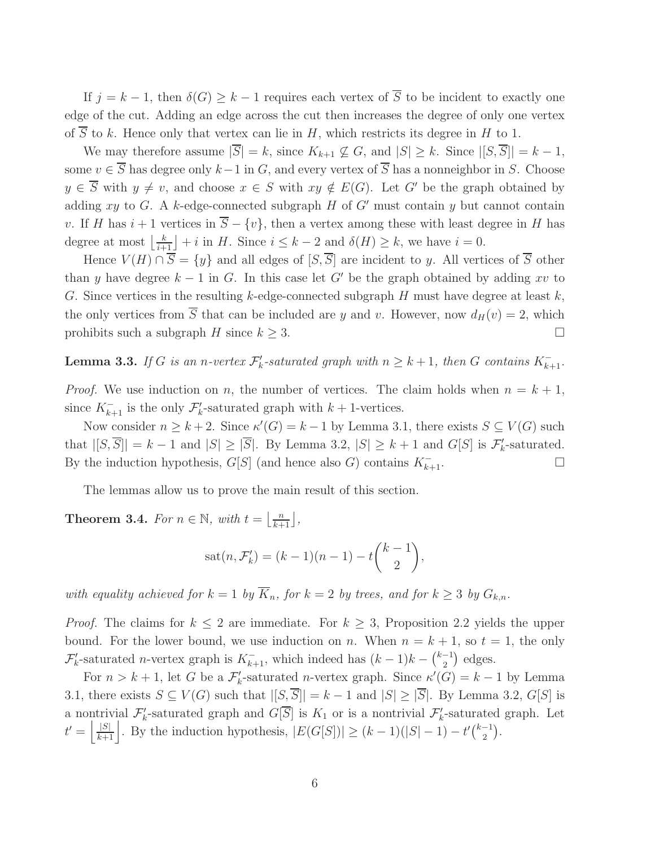If  $j = k - 1$ , then  $\delta(G) \geq k - 1$  requires each vertex of  $\overline{S}$  to be incident to exactly one edge of the cut. Adding an edge across the cut then increases the degree of only one vertex of  $\overline{S}$  to k. Hence only that vertex can lie in H, which restricts its degree in H to 1.

We may therefore assume  $|\overline{S}| = k$ , since  $K_{k+1} \not\subseteq G$ , and  $|S| \geq k$ . Since  $|[S, \overline{S}]| = k - 1$ , some  $v \in \overline{S}$  has degree only  $k-1$  in G, and every vertex of  $\overline{S}$  has a nonneighbor in S. Choose  $y \in \overline{S}$  with  $y \neq v$ , and choose  $x \in S$  with  $xy \notin E(G)$ . Let G' be the graph obtained by adding xy to G. A k-edge-connected subgraph H of  $G'$  must contain y but cannot contain v. If H has  $i + 1$  vertices in  $\overline{S} - \{v\}$ , then a vertex among these with least degree in H has degree at most  $\left\lfloor \frac{k}{i+1} \right\rfloor + i$  in H. Since  $i \leq k-2$  and  $\delta(H) \geq k$ , we have  $i = 0$ .

Hence  $V(H) \cap \overline{S} = \{y\}$  and all edges of  $[S, \overline{S}]$  are incident to y. All vertices of  $\overline{S}$  other than y have degree  $k - 1$  in G. In this case let G' be the graph obtained by adding xv to G. Since vertices in the resulting k-edge-connected subgraph  $H$  must have degree at least  $k$ , the only vertices from  $\overline{S}$  that can be included are y and v. However, now  $d_H(v) = 2$ , which prohibits such a subgraph H since  $k \geq 3$ .

**Lemma 3.3.** If G is an n-vertex  $\mathcal{F}'_k$ -saturated graph with  $n \geq k+1$ , then G contains  $K_{k+1}^-$ .

*Proof.* We use induction on n, the number of vertices. The claim holds when  $n = k + 1$ , since  $K_{k+1}^-$  is the only  $\mathcal{F}'_k$ -saturated graph with  $k+1$ -vertices.

Now consider  $n \geq k+2$ . Since  $\kappa'(G) = k-1$  by Lemma 3.1, there exists  $S \subseteq V(G)$  such that  $|[S,\overline{S}]|=k-1$  and  $|S|\geq |\overline{S}|$ . By Lemma 3.2,  $|S|\geq k+1$  and  $G[S]$  is  $\mathcal{F}'_k$ -saturated. By the induction hypothesis,  $G[S]$  (and hence also G) contains  $K_{k+1}^-$ .

The lemmas allow us to prove the main result of this section.

**Theorem 3.4.** For  $n \in \mathbb{N}$ , with  $t = \left\lfloor \frac{n}{k+1} \right\rfloor$ ,

$$
sat(n, \mathcal{F}'_k) = (k-1)(n-1) - t\binom{k-1}{2},
$$

with equality achieved for  $k = 1$  by  $\overline{K}_n$ , for  $k = 2$  by trees, and for  $k \geq 3$  by  $G_{k,n}$ .

*Proof.* The claims for  $k \leq 2$  are immediate. For  $k \geq 3$ , Proposition 2.2 yields the upper bound. For the lower bound, we use induction on n. When  $n = k + 1$ , so  $t = 1$ , the only  $\mathcal{F}'_k$ -saturated *n*-vertex graph is  $K_{k+1}^-$ , which indeed has  $(k-1)k - \binom{k-1}{2}$  $\binom{-1}{2}$  edges.

For  $n > k + 1$ , let G be a  $\mathcal{F}'_k$ -saturated *n*-vertex graph. Since  $\kappa'(G) = k - 1$  by Lemma 3.1, there exists  $S \subseteq V(G)$  such that  $|[S,\overline{S}]|=k-1$  and  $|S| \geq |\overline{S}|$ . By Lemma 3.2,  $G[S]$  is a nontrivial  $\mathcal{F}'_k$ -saturated graph and  $G[\overline{S}]$  is  $K_1$  or is a nontrivial  $\mathcal{F}'_k$ -saturated graph. Let  $t' = \left\lfloor \frac{|S|}{k+1} \right\rfloor$ . By the induction hypothesis,  $|E(G[S])| \ge (k-1)(|S|-1) - t'\binom{k-1}{2}$  $\binom{-1}{2}$ .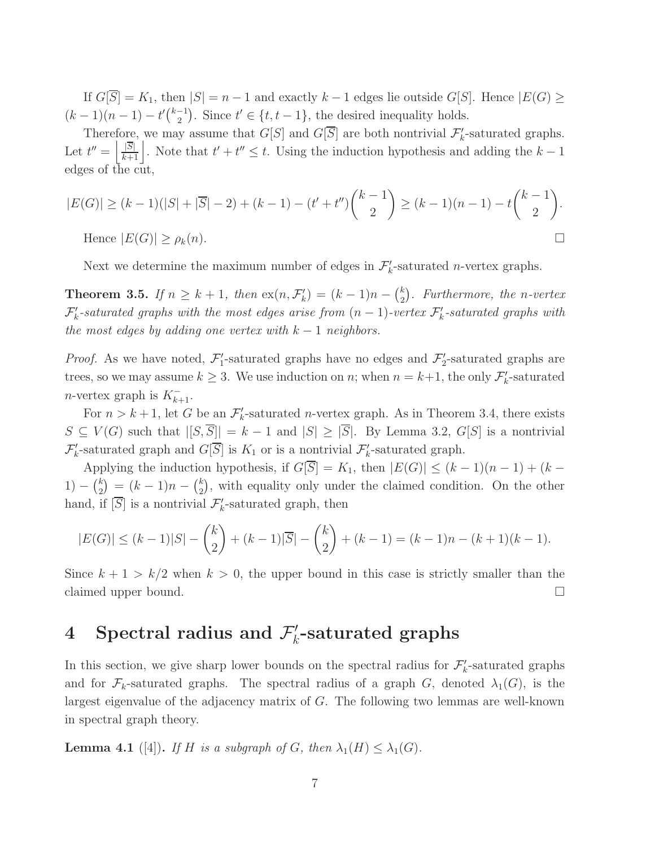If  $G[\overline{S}] = K_1$ , then  $|S| = n - 1$  and exactly  $k - 1$  edges lie outside  $G[S]$ . Hence  $|E(G)| \ge$  $(k-1)(n-1) - t' \binom{k-1}{2}$  $\binom{-1}{2}$ . Since  $t' \in \{t, t-1\}$ , the desired inequality holds.

Therefore, we may assume that  $G[S]$  and  $G[\overline{S}]$  are both nontrivial  $\mathcal{F}'_k$ -saturated graphs. Let  $t'' = \left|\frac{|\overline{S}|}{k+1}\right|$ . Note that  $t' + t'' \leq t$ . Using the induction hypothesis and adding the  $k-1$ edges of the cut,

$$
|E(G)| \ge (k-1)(|S| + |\overline{S}| - 2) + (k-1) - (t' + t'')\binom{k-1}{2} \ge (k-1)(n-1) - t\binom{k-1}{2}.
$$
  
Hence  $|E(G)| \ge \rho_k(n)$ .

Next we determine the maximum number of edges in  $\mathcal{F}'_k$ -saturated *n*-vertex graphs.

**Theorem 3.5.** If  $n \geq k+1$ , then  $ex(n, \mathcal{F}'_k) = (k-1)n - {k \choose 2}$  $\binom{k}{2}$ . Furthermore, the n-vertex  $\mathcal{F}'_k$ -saturated graphs with the most edges arise from  $(n-1)$ -vertex  $\mathcal{F}'_k$ -saturated graphs with the most edges by adding one vertex with  $k-1$  neighbors.

*Proof.* As we have noted,  $\mathcal{F}'_1$ -saturated graphs have no edges and  $\mathcal{F}'_2$ -saturated graphs are trees, so we may assume  $k \geq 3$ . We use induction on n; when  $n = k+1$ , the only  $\mathcal{F}'_k$ -saturated *n*-vertex graph is  $K_{k+1}^-$ .

For  $n > k + 1$ , let G be an  $\mathcal{F}'_k$ -saturated *n*-vertex graph. As in Theorem 3.4, there exists  $S \subseteq V(G)$  such that  $|[S,\overline{S}]|=k-1$  and  $|S| \geq |\overline{S}|$ . By Lemma 3.2,  $G[S]$  is a nontrivial  $\mathcal{F}'_k$ -saturated graph and  $G[\overline{S}]$  is  $K_1$  or is a nontrivial  $\mathcal{F}'_k$ -saturated graph.

Applying the induction hypothesis, if  $G[\overline{S}] = K_1$ , then  $|E(G)| \leq (k-1)(n-1) + (k-1)$ 1) –  $\binom{k}{2}$  $\binom{k}{2} = (k-1)n - \binom{k}{2}$  $_{2}^{k}$ ), with equality only under the claimed condition. On the other hand, if  $[\overline{S}]$  is a nontrivial  $\mathcal{F}'_k$ -saturated graph, then

$$
|E(G)| \le (k-1)|S| - {k \choose 2} + (k-1)|\overline{S}| - {k \choose 2} + (k-1) = (k-1)n - (k+1)(k-1).
$$

Since  $k + 1 > k/2$  when  $k > 0$ , the upper bound in this case is strictly smaller than the claimed upper bound.

# 4 Spectral radius and  $\mathcal{F}'_k$ -saturated graphs

In this section, we give sharp lower bounds on the spectral radius for  $\mathcal{F}'_k$ -saturated graphs and for  $\mathcal{F}_k$ -saturated graphs. The spectral radius of a graph G, denoted  $\lambda_1(G)$ , is the largest eigenvalue of the adjacency matrix of G. The following two lemmas are well-known in spectral graph theory.

**Lemma 4.1** ([4]). If H is a subgraph of G, then  $\lambda_1(H) \leq \lambda_1(G)$ .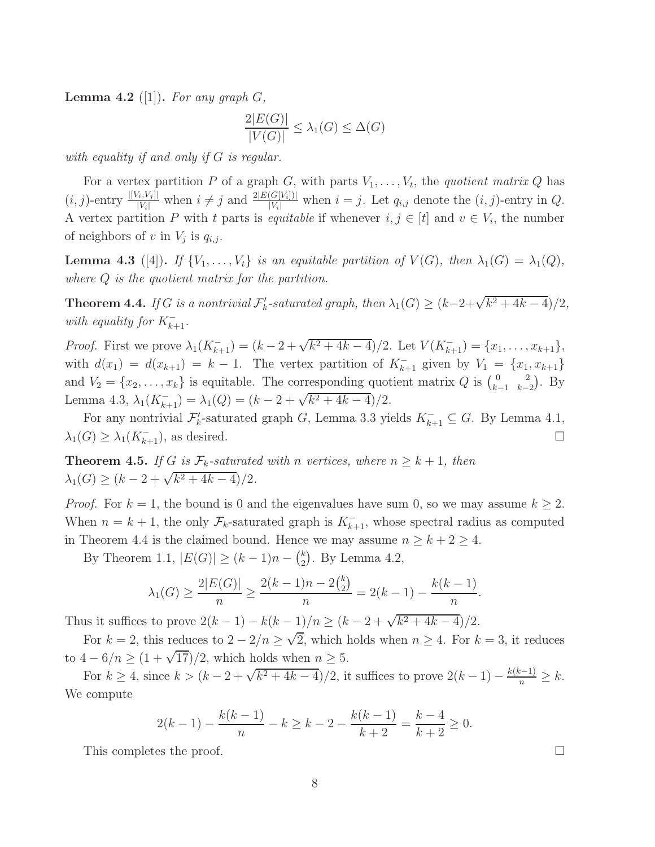**Lemma 4.2** ([1]). For any graph  $G$ ,

$$
\frac{2|E(G)|}{|V(G)|} \le \lambda_1(G) \le \Delta(G)
$$

with equality if and only if G is regular.

For a vertex partition P of a graph G, with parts  $V_1, \ldots, V_t$ , the quotient matrix Q has  $(i, j)$ -entry  $\frac{|[V_i, V_j]|}{|V_i|}$  when  $i \neq j$  and  $\frac{2|E(G[V_i])|}{|V_i|}$  when  $i = j$ . Let  $q_{i,j}$  denote the  $(i, j)$ -entry in  $Q$ . A vertex partition P with t parts is *equitable* if whenever  $i, j \in [t]$  and  $v \in V_i$ , the number of neighbors of v in  $V_j$  is  $q_{i,j}$ .

**Lemma 4.3** ([4]). If  $\{V_1, \ldots, V_t\}$  is an equitable partition of  $V(G)$ , then  $\lambda_1(G) = \lambda_1(Q)$ , where Q is the quotient matrix for the partition.

**Theorem 4.4.** If G is a nontrivial  $\mathcal{F}'_k$ -saturated graph, then  $\lambda_1(G) \geq (k-2+\sqrt{k^2+4k-4})/2$ , with equality for  $K_{k+1}^-$ .

*Proof.* First we prove  $\lambda_1(K_{k+1}^-) = (k-2+\sqrt{k^2+4k-4})/2$ . Let  $V(K_{k+1}^-) = \{x_1, \ldots, x_{k+1}\},$ with  $d(x_1) = d(x_{k+1}) = k - 1$ . The vertex partition of  $K_{k+1}^-$  given by  $V_1 = \{x_1, x_{k+1}\}$ and  $V_2 = \{x_2, \ldots, x_k\}$  is equitable. The corresponding quotient matrix Q is  $\begin{pmatrix} 0 & 2 \\ k-1 & k-1 \end{pmatrix}$  $_{k-1,k-2}^{0}$ . By Lemma 4.3,  $\lambda_1(K_{k+1}^-) = \lambda_1(Q) = (k-2+\sqrt{k^2+4k-4})/2$ .

For any nontrivial  $\mathcal{F}'_k$ -saturated graph G, Lemma 3.3 yields  $K_{k+1}^- \subseteq G$ . By Lemma 4.1,  $\lambda_1(G) \geq \lambda_1(K_{k+1}^-)$ , as desired.

**Theorem 4.5.** If G is  $\mathcal{F}_k$ -saturated with n vertices, where  $n \geq k+1$ , then  $\lambda_1(G) \ge (k-2+\sqrt{k^2+4k-4})/2.$ 

*Proof.* For  $k = 1$ , the bound is 0 and the eigenvalues have sum 0, so we may assume  $k \geq 2$ . When  $n = k + 1$ , the only  $\mathcal{F}_k$ -saturated graph is  $K_{k+1}^-$ , whose spectral radius as computed in Theorem 4.4 is the claimed bound. Hence we may assume  $n \geq k + 2 \geq 4$ .

By Theorem 1.1,  $|E(G)| \ge (k-1)n - {k \choose 2}$  $_{2}^{k}$ ). By Lemma 4.2,

$$
\lambda_1(G) \ge \frac{2|E(G)|}{n} \ge \frac{2(k-1)n - 2\binom{k}{2}}{n} = 2(k-1) - \frac{k(k-1)}{n}.
$$

Thus it suffices to prove  $2(k-1) - k(k-1)/n \ge (k-2 + \sqrt{k^2 + 4k - 4})/2$ .

For  $k = 2$ , this reduces to  $2 - 2/n \ge \sqrt{2}$ , which holds when  $n \ge 4$ . For  $k = 3$ , it reduces to  $4-6/n \geq (1+\sqrt{17})/2$ , which holds when  $n \geq 5$ .

For  $k \ge 4$ , since  $k > (k - 2 + \sqrt{k^2 + 4k - 4})/2$ , it suffices to prove  $2(k - 1) - \frac{k(k-1)}{n} \ge k$ . We compute

$$
2(k-1) - \frac{k(k-1)}{n} - k \ge k - 2 - \frac{k(k-1)}{k+2} = \frac{k-4}{k+2} \ge 0.
$$

This completes the proof.